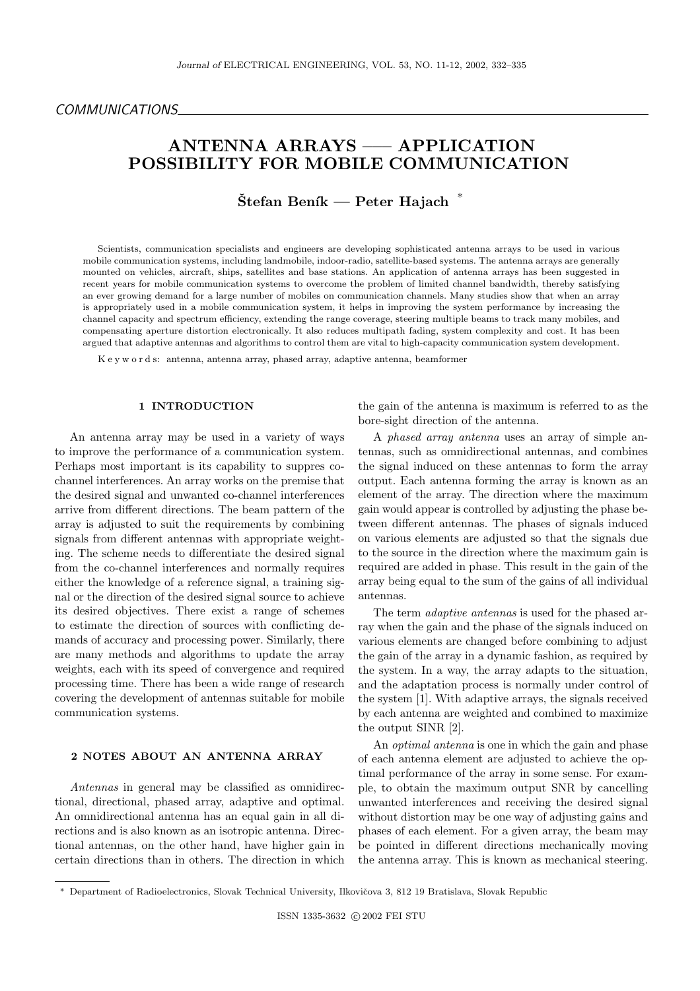# ANTENNA ARRAYS ––– APPLICATION POSSIBILITY FOR MOBILE COMMUNICATION

 $\mathrm{\check{S}tefan\ Benik}\longrightarrow \mathrm{Peter\ Hajach}^{-*}$ 

Scientists, communication specialists and engineers are developing sophisticated antenna arrays to be used in various mobile communication systems, including landmobile, indoor-radio, satellite-based systems. The antenna arrays are generally mounted on vehicles, aircraft, ships, satellites and base stations. An application of antenna arrays has been suggested in recent years for mobile communication systems to overcome the problem of limited channel bandwidth, thereby satisfying an ever growing demand for a large number of mobiles on communication channels. Many studies show that when an array is appropriately used in a mobile communication system, it helps in improving the system performance by increasing the channel capacity and spectrum efficiency, extending the range coverage, steering multiple beams to track many mobiles, and compensating aperture distortion electronically. It also reduces multipath fading, system complexity and cost. It has been argued that adaptive antennas and algorithms to control them are vital to high-capacity communication system development.

K e y w o r d s: antenna, antenna array, phased array, adaptive antenna, beamformer

## 1 INTRODUCTION

An antenna array may be used in a variety of ways to improve the performance of a communication system. Perhaps most important is its capability to suppres cochannel interferences. An array works on the premise that the desired signal and unwanted co-channel interferences arrive from different directions. The beam pattern of the array is adjusted to suit the requirements by combining signals from different antennas with appropriate weighting. The scheme needs to differentiate the desired signal from the co-channel interferences and normally requires either the knowledge of a reference signal, a training signal or the direction of the desired signal source to achieve its desired objectives. There exist a range of schemes to estimate the direction of sources with conflicting demands of accuracy and processing power. Similarly, there are many methods and algorithms to update the array weights, each with its speed of convergence and required processing time. There has been a wide range of research covering the development of antennas suitable for mobile communication systems.

#### 2 NOTES ABOUT AN ANTENNA ARRAY

Antennas in general may be classified as omnidirectional, directional, phased array, adaptive and optimal. An omnidirectional antenna has an equal gain in all directions and is also known as an isotropic antenna. Directional antennas, on the other hand, have higher gain in certain directions than in others. The direction in which the gain of the antenna is maximum is referred to as the bore-sight direction of the antenna.

A phased array antenna uses an array of simple antennas, such as omnidirectional antennas, and combines the signal induced on these antennas to form the array output. Each antenna forming the array is known as an element of the array. The direction where the maximum gain would appear is controlled by adjusting the phase between different antennas. The phases of signals induced on various elements are adjusted so that the signals due to the source in the direction where the maximum gain is required are added in phase. This result in the gain of the array being equal to the sum of the gains of all individual antennas.

The term adaptive antennas is used for the phased array when the gain and the phase of the signals induced on various elements are changed before combining to adjust the gain of the array in a dynamic fashion, as required by the system. In a way, the array adapts to the situation, and the adaptation process is normally under control of the system [1]. With adaptive arrays, the signals received by each antenna are weighted and combined to maximize the output SINR [2].

An optimal antenna is one in which the gain and phase of each antenna element are adjusted to achieve the optimal performance of the array in some sense. For example, to obtain the maximum output SNR by cancelling unwanted interferences and receiving the desired signal without distortion may be one way of adjusting gains and phases of each element. For a given array, the beam may be pointed in different directions mechanically moving the antenna array. This is known as mechanical steering.

Department of Radioelectronics, Slovak Technical University, Ilkovičova 3, 812 19 Bratislava, Slovak Republic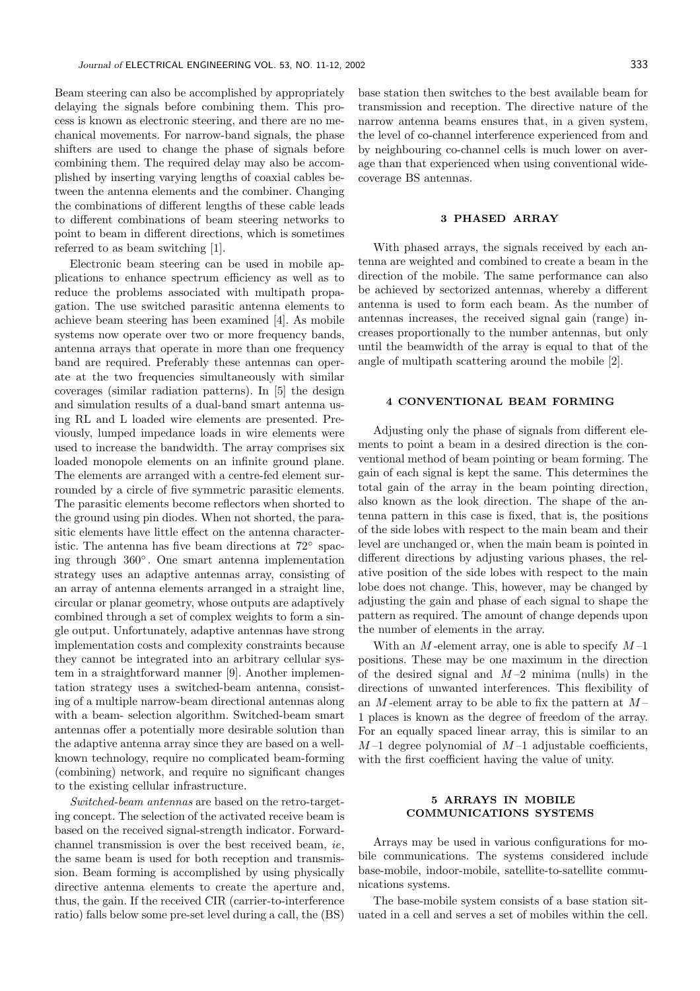Beam steering can also be accomplished by appropriately delaying the signals before combining them. This process is known as electronic steering, and there are no mechanical movements. For narrow-band signals, the phase shifters are used to change the phase of signals before combining them. The required delay may also be accomplished by inserting varying lengths of coaxial cables between the antenna elements and the combiner. Changing the combinations of different lengths of these cable leads to different combinations of beam steering networks to point to beam in different directions, which is sometimes referred to as beam switching [1].

Electronic beam steering can be used in mobile applications to enhance spectrum efficiency as well as to reduce the problems associated with multipath propagation. The use switched parasitic antenna elements to achieve beam steering has been examined [4]. As mobile systems now operate over two or more frequency bands, antenna arrays that operate in more than one frequency band are required. Preferably these antennas can operate at the two frequencies simultaneously with similar coverages (similar radiation patterns). In [5] the design and simulation results of a dual-band smart antenna using RL and L loaded wire elements are presented. Previously, lumped impedance loads in wire elements were used to increase the bandwidth. The array comprises six loaded monopole elements on an infinite ground plane. The elements are arranged with a centre-fed element surrounded by a circle of five symmetric parasitic elements. The parasitic elements become reflectors when shorted to the ground using pin diodes. When not shorted, the parasitic elements have little effect on the antenna characteristic. The antenna has five beam directions at 72◦ spacing through 360◦ . One smart antenna implementation strategy uses an adaptive antennas array, consisting of an array of antenna elements arranged in a straight line, circular or planar geometry, whose outputs are adaptively combined through a set of complex weights to form a single output. Unfortunately, adaptive antennas have strong implementation costs and complexity constraints because they cannot be integrated into an arbitrary cellular system in a straightforward manner [9]. Another implementation strategy uses a switched-beam antenna, consisting of a multiple narrow-beam directional antennas along with a beam- selection algorithm. Switched-beam smart antennas offer a potentially more desirable solution than the adaptive antenna array since they are based on a wellknown technology, require no complicated beam-forming (combining) network, and require no significant changes to the existing cellular infrastructure.

Switched-beam antennas are based on the retro-targeting concept. The selection of the activated receive beam is based on the received signal-strength indicator. Forwardchannel transmission is over the best received beam, ie, the same beam is used for both reception and transmission. Beam forming is accomplished by using physically directive antenna elements to create the aperture and, thus, the gain. If the received CIR (carrier-to-interference ratio) falls below some pre-set level during a call, the (BS) base station then switches to the best available beam for transmission and reception. The directive nature of the narrow antenna beams ensures that, in a given system, the level of co-channel interference experienced from and by neighbouring co-channel cells is much lower on average than that experienced when using conventional widecoverage BS antennas.

#### 3 PHASED ARRAY

With phased arrays, the signals received by each antenna are weighted and combined to create a beam in the direction of the mobile. The same performance can also be achieved by sectorized antennas, whereby a different antenna is used to form each beam. As the number of antennas increases, the received signal gain (range) increases proportionally to the number antennas, but only until the beamwidth of the array is equal to that of the angle of multipath scattering around the mobile [2].

#### 4 CONVENTIONAL BEAM FORMING

Adjusting only the phase of signals from different elements to point a beam in a desired direction is the conventional method of beam pointing or beam forming. The gain of each signal is kept the same. This determines the total gain of the array in the beam pointing direction, also known as the look direction. The shape of the antenna pattern in this case is fixed, that is, the positions of the side lobes with respect to the main beam and their level are unchanged or, when the main beam is pointed in different directions by adjusting various phases, the relative position of the side lobes with respect to the main lobe does not change. This, however, may be changed by adjusting the gain and phase of each signal to shape the pattern as required. The amount of change depends upon the number of elements in the array.

With an  $M$ -element array, one is able to specify  $M-1$ positions. These may be one maximum in the direction of the desired signal and  $M-2$  minima (nulls) in the directions of unwanted interferences. This flexibility of an M-element array to be able to fix the pattern at  $M-$ 1 places is known as the degree of freedom of the array. For an equally spaced linear array, this is similar to an  $M-1$  degree polynomial of  $M-1$  adjustable coefficients, with the first coefficient having the value of unity.

### 5 ARRAYS IN MOBILE COMMUNICATIONS SYSTEMS

Arrays may be used in various configurations for mobile communications. The systems considered include base-mobile, indoor-mobile, satellite-to-satellite communications systems.

The base-mobile system consists of a base station situated in a cell and serves a set of mobiles within the cell.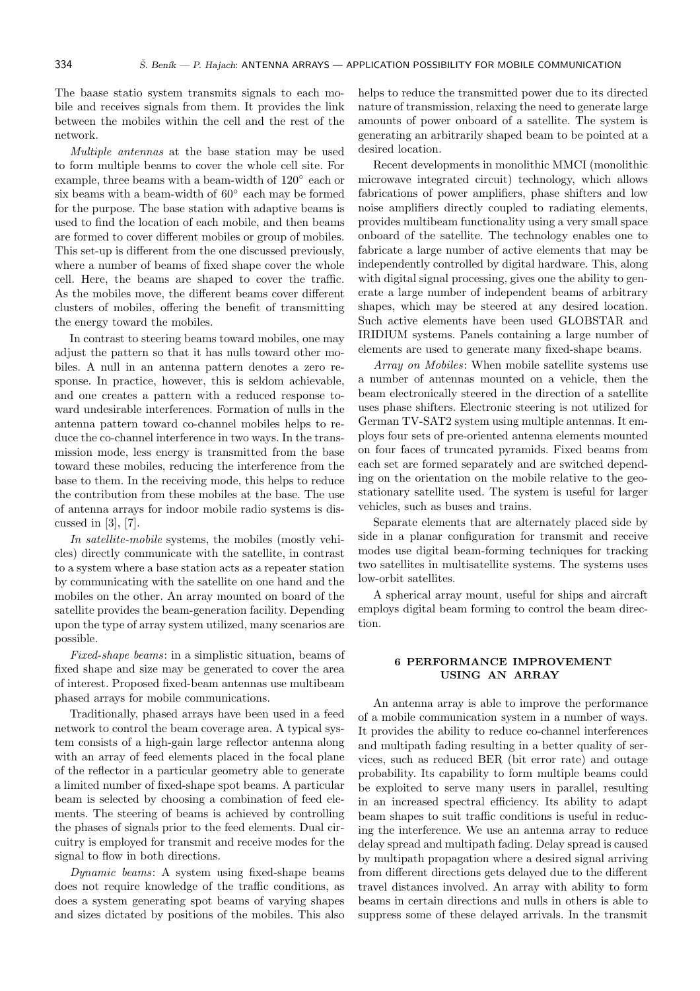The baase statio system transmits signals to each mobile and receives signals from them. It provides the link between the mobiles within the cell and the rest of the network.

Multiple antennas at the base station may be used to form multiple beams to cover the whole cell site. For example, three beams with a beam-width of 120◦ each or six beams with a beam-width of  $60^{\circ}$  each may be formed for the purpose. The base station with adaptive beams is used to find the location of each mobile, and then beams are formed to cover different mobiles or group of mobiles. This set-up is different from the one discussed previously, where a number of beams of fixed shape cover the whole cell. Here, the beams are shaped to cover the traffic. As the mobiles move, the different beams cover different clusters of mobiles, offering the benefit of transmitting the energy toward the mobiles.

In contrast to steering beams toward mobiles, one may adjust the pattern so that it has nulls toward other mobiles. A null in an antenna pattern denotes a zero response. In practice, however, this is seldom achievable, and one creates a pattern with a reduced response toward undesirable interferences. Formation of nulls in the antenna pattern toward co-channel mobiles helps to reduce the co-channel interference in two ways. In the transmission mode, less energy is transmitted from the base toward these mobiles, reducing the interference from the base to them. In the receiving mode, this helps to reduce the contribution from these mobiles at the base. The use of antenna arrays for indoor mobile radio systems is discussed in [3], [7].

In satellite-mobile systems, the mobiles (mostly vehicles) directly communicate with the satellite, in contrast to a system where a base station acts as a repeater station by communicating with the satellite on one hand and the mobiles on the other. An array mounted on board of the satellite provides the beam-generation facility. Depending upon the type of array system utilized, many scenarios are possible.

Fixed-shape beams: in a simplistic situation, beams of fixed shape and size may be generated to cover the area of interest. Proposed fixed-beam antennas use multibeam phased arrays for mobile communications.

Traditionally, phased arrays have been used in a feed network to control the beam coverage area. A typical system consists of a high-gain large reflector antenna along with an array of feed elements placed in the focal plane of the reflector in a particular geometry able to generate a limited number of fixed-shape spot beams. A particular beam is selected by choosing a combination of feed elements. The steering of beams is achieved by controlling the phases of signals prior to the feed elements. Dual circuitry is employed for transmit and receive modes for the signal to flow in both directions.

Dynamic beams: A system using fixed-shape beams does not require knowledge of the traffic conditions, as does a system generating spot beams of varying shapes and sizes dictated by positions of the mobiles. This also helps to reduce the transmitted power due to its directed nature of transmission, relaxing the need to generate large amounts of power onboard of a satellite. The system is generating an arbitrarily shaped beam to be pointed at a desired location.

Recent developments in monolithic MMCI (monolithic microwave integrated circuit) technology, which allows fabrications of power amplifiers, phase shifters and low noise amplifiers directly coupled to radiating elements, provides multibeam functionality using a very small space onboard of the satellite. The technology enables one to fabricate a large number of active elements that may be independently controlled by digital hardware. This, along with digital signal processing, gives one the ability to generate a large number of independent beams of arbitrary shapes, which may be steered at any desired location. Such active elements have been used GLOBSTAR and IRIDIUM systems. Panels containing a large number of elements are used to generate many fixed-shape beams.

Array on Mobiles: When mobile satellite systems use a number of antennas mounted on a vehicle, then the beam electronically steered in the direction of a satellite uses phase shifters. Electronic steering is not utilized for German TV-SAT2 system using multiple antennas. It employs four sets of pre-oriented antenna elements mounted on four faces of truncated pyramids. Fixed beams from each set are formed separately and are switched depending on the orientation on the mobile relative to the geostationary satellite used. The system is useful for larger vehicles, such as buses and trains.

Separate elements that are alternately placed side by side in a planar configuration for transmit and receive modes use digital beam-forming techniques for tracking two satellites in multisatellite systems. The systems uses low-orbit satellites.

A spherical array mount, useful for ships and aircraft employs digital beam forming to control the beam direction.

# 6 PERFORMANCE IMPROVEMENT USING AN ARRAY

An antenna array is able to improve the performance of a mobile communication system in a number of ways. It provides the ability to reduce co-channel interferences and multipath fading resulting in a better quality of services, such as reduced BER (bit error rate) and outage probability. Its capability to form multiple beams could be exploited to serve many users in parallel, resulting in an increased spectral efficiency. Its ability to adapt beam shapes to suit traffic conditions is useful in reducing the interference. We use an antenna array to reduce delay spread and multipath fading. Delay spread is caused by multipath propagation where a desired signal arriving from different directions gets delayed due to the different travel distances involved. An array with ability to form beams in certain directions and nulls in others is able to suppress some of these delayed arrivals. In the transmit